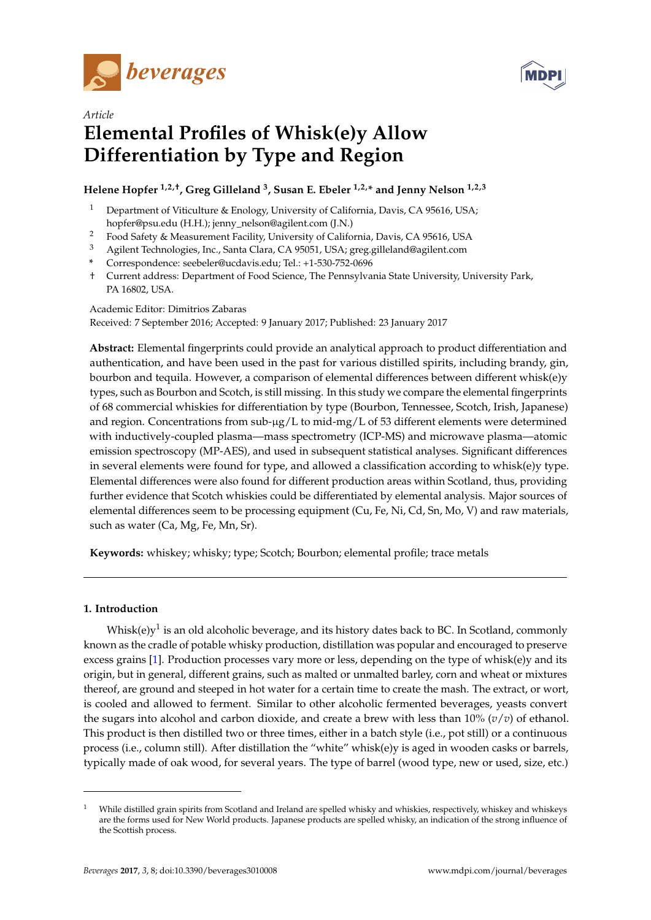



# *Article* **Elemental Profiles of Whisk(e)y Allow Differentiation by Type and Region**

## **Helene Hopfer 1,2,†, Greg Gilleland <sup>3</sup> , Susan E. Ebeler 1,2,\* and Jenny Nelson 1,2,3**

- Department of Viticulture & Enology, University of California, Davis, CA 95616, USA; hopfer@psu.edu (H.H.); jenny\_nelson@agilent.com (J.N.)
- <sup>2</sup> Food Safety & Measurement Facility, University of California, Davis, CA 95616, USA
- <sup>3</sup> Agilent Technologies, Inc., Santa Clara, CA 95051, USA; greg.gilleland@agilent.com
- **\*** Correspondence: seebeler@ucdavis.edu; Tel.: +1-530-752-0696
- † Current address: Department of Food Science, The Pennsylvania State University, University Park, PA 16802, USA.

Academic Editor: Dimitrios Zabaras Received: 7 September 2016; Accepted: 9 January 2017; Published: 23 January 2017

**Abstract:** Elemental fingerprints could provide an analytical approach to product differentiation and authentication, and have been used in the past for various distilled spirits, including brandy, gin, bourbon and tequila. However, a comparison of elemental differences between different whisk(e)y types, such as Bourbon and Scotch, is still missing. In this study we compare the elemental fingerprints of 68 commercial whiskies for differentiation by type (Bourbon, Tennessee, Scotch, Irish, Japanese) and region. Concentrations from sub-µg/L to mid-mg/L of 53 different elements were determined with inductively-coupled plasma—mass spectrometry (ICP-MS) and microwave plasma—atomic emission spectroscopy (MP-AES), and used in subsequent statistical analyses. Significant differences in several elements were found for type, and allowed a classification according to whisk(e)y type. Elemental differences were also found for different production areas within Scotland, thus, providing further evidence that Scotch whiskies could be differentiated by elemental analysis. Major sources of elemental differences seem to be processing equipment (Cu, Fe, Ni, Cd, Sn, Mo, V) and raw materials, such as water (Ca, Mg, Fe, Mn, Sr).

**Keywords:** whiskey; whisky; type; Scotch; Bourbon; elemental profile; trace metals

### **1. Introduction**

Whisk(e)y $^1$  is an old alcoholic beverage, and its history dates back to BC. In Scotland, commonly known as the cradle of potable whisky production, distillation was popular and encouraged to preserve excess grains [\[1\]](#page-9-0). Production processes vary more or less, depending on the type of whisk(e)y and its origin, but in general, different grains, such as malted or unmalted barley, corn and wheat or mixtures thereof, are ground and steeped in hot water for a certain time to create the mash. The extract, or wort, is cooled and allowed to ferment. Similar to other alcoholic fermented beverages, yeasts convert the sugars into alcohol and carbon dioxide, and create a brew with less than 10% (*v*/*v*) of ethanol. This product is then distilled two or three times, either in a batch style (i.e., pot still) or a continuous process (i.e., column still). After distillation the "white" whisk(e)y is aged in wooden casks or barrels, typically made of oak wood, for several years. The type of barrel (wood type, new or used, size, etc.)

While distilled grain spirits from Scotland and Ireland are spelled whisky and whiskies, respectively, whiskey and whiskeys are the forms used for New World products. Japanese products are spelled whisky, an indication of the strong influence of the Scottish process.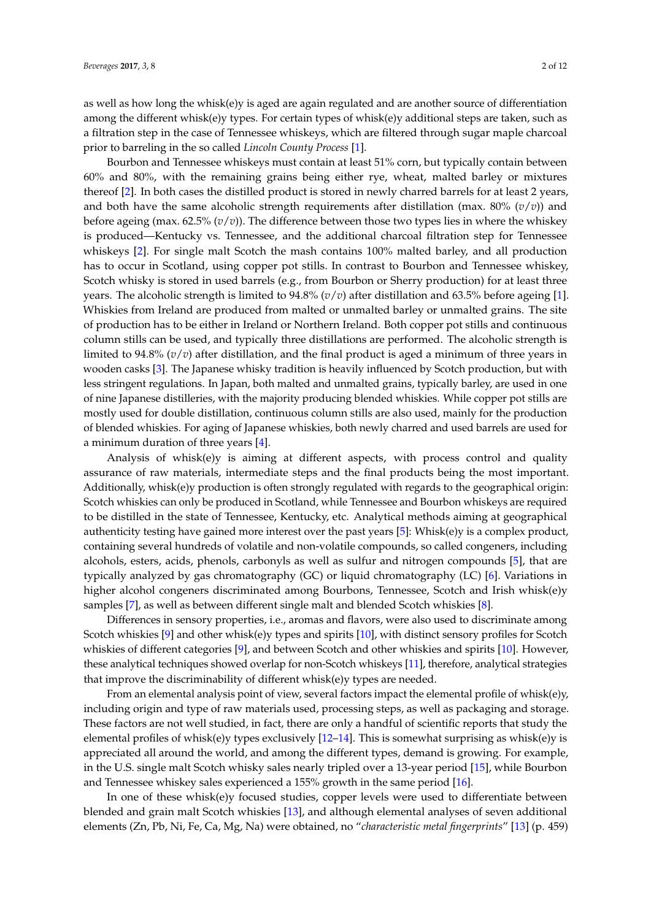as well as how long the whisk(e)y is aged are again regulated and are another source of differentiation among the different whisk(e)y types. For certain types of whisk(e)y additional steps are taken, such as a filtration step in the case of Tennessee whiskeys, which are filtered through sugar maple charcoal prior to barreling in the so called *Lincoln County Process* [\[1\]](#page-9-0).

Bourbon and Tennessee whiskeys must contain at least 51% corn, but typically contain between 60% and 80%, with the remaining grains being either rye, wheat, malted barley or mixtures thereof [\[2\]](#page-9-1). In both cases the distilled product is stored in newly charred barrels for at least 2 years, and both have the same alcoholic strength requirements after distillation (max. 80% (*v*/*v*)) and before ageing (max. 62.5% (*v*/*v*)). The difference between those two types lies in where the whiskey is produced—Kentucky vs. Tennessee, and the additional charcoal filtration step for Tennessee whiskeys [\[2\]](#page-9-1). For single malt Scotch the mash contains 100% malted barley, and all production has to occur in Scotland, using copper pot stills. In contrast to Bourbon and Tennessee whiskey, Scotch whisky is stored in used barrels (e.g., from Bourbon or Sherry production) for at least three years. The alcoholic strength is limited to 94.8% (*v*/*v*) after distillation and 63.5% before ageing [\[1\]](#page-9-0). Whiskies from Ireland are produced from malted or unmalted barley or unmalted grains. The site of production has to be either in Ireland or Northern Ireland. Both copper pot stills and continuous column stills can be used, and typically three distillations are performed. The alcoholic strength is limited to 94.8% (*v*/*v*) after distillation, and the final product is aged a minimum of three years in wooden casks [\[3\]](#page-9-2). The Japanese whisky tradition is heavily influenced by Scotch production, but with less stringent regulations. In Japan, both malted and unmalted grains, typically barley, are used in one of nine Japanese distilleries, with the majority producing blended whiskies. While copper pot stills are mostly used for double distillation, continuous column stills are also used, mainly for the production of blended whiskies. For aging of Japanese whiskies, both newly charred and used barrels are used for a minimum duration of three years [\[4\]](#page-9-3).

Analysis of whisk(e)y is aiming at different aspects, with process control and quality assurance of raw materials, intermediate steps and the final products being the most important. Additionally, whisk(e)y production is often strongly regulated with regards to the geographical origin: Scotch whiskies can only be produced in Scotland, while Tennessee and Bourbon whiskeys are required to be distilled in the state of Tennessee, Kentucky, etc. Analytical methods aiming at geographical authenticity testing have gained more interest over the past years [\[5\]](#page-9-4): Whisk(e)y is a complex product, containing several hundreds of volatile and non-volatile compounds, so called congeners, including alcohols, esters, acids, phenols, carbonyls as well as sulfur and nitrogen compounds [\[5\]](#page-9-4), that are typically analyzed by gas chromatography (GC) or liquid chromatography (LC) [\[6\]](#page-9-5). Variations in higher alcohol congeners discriminated among Bourbons, Tennessee, Scotch and Irish whisk(e)y samples [\[7\]](#page-9-6), as well as between different single malt and blended Scotch whiskies [\[8\]](#page-10-0).

Differences in sensory properties, i.e., aromas and flavors, were also used to discriminate among Scotch whiskies [\[9\]](#page-10-1) and other whisk(e)y types and spirits [\[10\]](#page-10-2), with distinct sensory profiles for Scotch whiskies of different categories [\[9\]](#page-10-1), and between Scotch and other whiskies and spirits [\[10\]](#page-10-2). However, these analytical techniques showed overlap for non-Scotch whiskeys [\[11\]](#page-10-3), therefore, analytical strategies that improve the discriminability of different whisk(e)y types are needed.

From an elemental analysis point of view, several factors impact the elemental profile of whisk(e)y, including origin and type of raw materials used, processing steps, as well as packaging and storage. These factors are not well studied, in fact, there are only a handful of scientific reports that study the elemental profiles of whisk(e)y types exclusively  $[12-14]$  $[12-14]$ . This is somewhat surprising as whisk(e)y is appreciated all around the world, and among the different types, demand is growing. For example, in the U.S. single malt Scotch whisky sales nearly tripled over a 13-year period [\[15\]](#page-10-6), while Bourbon and Tennessee whiskey sales experienced a 155% growth in the same period [\[16\]](#page-10-7).

In one of these whisk(e)y focused studies, copper levels were used to differentiate between blended and grain malt Scotch whiskies [\[13\]](#page-10-8), and although elemental analyses of seven additional elements (Zn, Pb, Ni, Fe, Ca, Mg, Na) were obtained, no "*characteristic metal fingerprints*" [\[13\]](#page-10-8) (p. 459)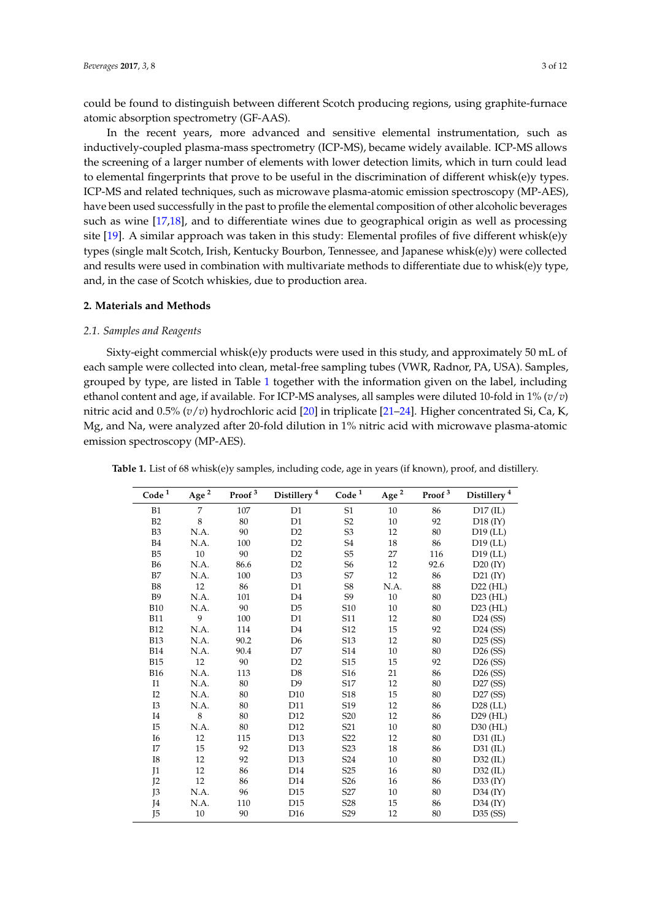could be found to distinguish between different Scotch producing regions, using graphite-furnace atomic absorption spectrometry (GF-AAS).

In the recent years, more advanced and sensitive elemental instrumentation, such as inductively-coupled plasma-mass spectrometry (ICP-MS), became widely available. ICP-MS allows the screening of a larger number of elements with lower detection limits, which in turn could lead to elemental fingerprints that prove to be useful in the discrimination of different whisk(e)y types. ICP-MS and related techniques, such as microwave plasma-atomic emission spectroscopy (MP-AES), have been used successfully in the past to profile the elemental composition of other alcoholic beverages such as wine [\[17](#page-10-9)[,18\]](#page-10-10), and to differentiate wines due to geographical origin as well as processing site [\[19\]](#page-10-11). A similar approach was taken in this study: Elemental profiles of five different whisk(e)y types (single malt Scotch, Irish, Kentucky Bourbon, Tennessee, and Japanese whisk(e)y) were collected and results were used in combination with multivariate methods to differentiate due to whisk(e)y type, and, in the case of Scotch whiskies, due to production area.

#### **2. Materials and Methods**

#### *2.1. Samples and Reagents*

Sixty-eight commercial whisk(e)y products were used in this study, and approximately 50 mL of each sample were collected into clean, metal-free sampling tubes (VWR, Radnor, PA, USA). Samples, grouped by type, are listed in Table [1](#page-3-0) together with the information given on the label, including ethanol content and age, if available. For ICP-MS analyses, all samples were diluted 10-fold in 1% (*v*/*v*) nitric acid and 0.5% (*v*/*v*) hydrochloric acid [\[20\]](#page-10-12) in triplicate [\[21–](#page-10-13)[24\]](#page-10-14). Higher concentrated Si, Ca, K, Mg, and Na, were analyzed after 20-fold dilution in 1% nitric acid with microwave plasma-atomic emission spectroscopy (MP-AES).

| $\mathbf{Code}\,^1$ | Age $^{\rm 2}$ | Proof $^3$ | Distillery <sup>4</sup> | $\mathbf{Code}\,^1$ | Age $^{\rm 2}$ | Proof $^3$ | Distillery <sup>4</sup> |
|---------------------|----------------|------------|-------------------------|---------------------|----------------|------------|-------------------------|
| B1                  | 7              | 107        | D <sub>1</sub>          | S <sub>1</sub>      | 10             | 86         | D17 (IL)                |
| B2                  | 8              | 80         | D1                      | S2                  | 10             | 92         | $D18$ (IY)              |
| B <sub>3</sub>      | N.A.           | 90         | D <sub>2</sub>          | S <sub>3</sub>      | 12             | 80         | $D19$ (LL)              |
| <b>B4</b>           | N.A.           | 100        | D <sub>2</sub>          | S4                  | 18             | 86         | $D19$ (LL)              |
| B <sub>5</sub>      | 10             | 90         | D <sub>2</sub>          | S5                  | 27             | 116        | $D19$ (LL)              |
| <b>B6</b>           | N.A.           | 86.6       | D2                      | S <sub>6</sub>      | 12             | 92.6       | $D20$ (IY)              |
| B7                  | N.A.           | 100        | D <sub>3</sub>          | S7                  | 12             | 86         | $D21$ (IY)              |
| <b>B8</b>           | 12             | 86         | D1                      | S8                  | N.A.           | 88         | $D22$ (HL)              |
| <b>B</b> 9          | N.A.           | 101        | D <sub>4</sub>          | S9                  | 10             | 80         | $D23$ (HL)              |
| <b>B10</b>          | N.A.           | 90         | D <sub>5</sub>          | S <sub>10</sub>     | 10             | 80         | $D23$ (HL)              |
| <b>B11</b>          | 9              | 100        | D1                      | S11                 | 12             | 80         | $D24$ (SS)              |
| <b>B12</b>          | N.A.           | 114        | D <sub>4</sub>          | S12                 | 15             | 92         | $D24$ (SS)              |
| <b>B13</b>          | N.A.           | 90.2       | D <sub>6</sub>          | S13                 | 12             | 80         | $D25$ (SS)              |
| <b>B14</b>          | N.A.           | 90.4       | D7                      | S14                 | 10             | 80         | $D26$ (SS)              |
| <b>B15</b>          | 12             | 90         | D2                      | S15                 | 15             | 92         | $D26$ (SS)              |
| <b>B16</b>          | N.A.           | 113        | D <sub>8</sub>          | S16                 | 21             | 86         | $D26$ (SS)              |
| I1                  | N.A.           | 80         | D <sup>9</sup>          | S17                 | 12             | 80         | D27 (SS)                |
| I2                  | N.A.           | 80         | D10                     | S18                 | 15             | 80         | D27(SS)                 |
| I3                  | N.A.           | 80         | D11                     | S19                 | 12             | 86         | $D28$ (LL)              |
| I4                  | 8              | 80         | D12                     | S <sub>20</sub>     | 12             | 86         | $D29$ (HL)              |
| I5                  | N.A.           | 80         | D <sub>12</sub>         | S <sub>21</sub>     | 10             | 80         | $D30$ (HL)              |
| <b>I6</b>           | 12             | 115        | D13                     | S <sub>22</sub>     | 12             | 80         | D31 (IL)                |
| I7                  | 15             | 92         | D <sub>13</sub>         | S <sub>2</sub> 3    | 18             | 86         | $D31$ (IL)              |
| I8                  | 12             | 92         | D <sub>13</sub>         | S <sub>24</sub>     | 10             | 80         | $D32$ (IL)              |
| I <sub>1</sub>      | 12             | 86         | D14                     | S <sub>25</sub>     | 16             | 80         | $D32$ (IL)              |
| J <sub>2</sub>      | 12             | 86         | D14                     | S <sub>26</sub>     | 16             | 86         | D33 (IY)                |
| J3                  | N.A.           | 96         | D <sub>15</sub>         | S <sub>27</sub>     | 10             | 80         | $D34$ (IY)              |
| J4                  | N.A.           | 110        | D <sub>15</sub>         | S <sub>28</sub>     | 15             | 86         | $D34$ (IY)              |
| J5                  | 10             | 90         | D <sub>16</sub>         | S <sub>29</sub>     | 12             | 80         | $D35$ (SS)              |

**Table 1.** List of 68 whisk(e)y samples, including code, age in years (if known), proof, and distillery.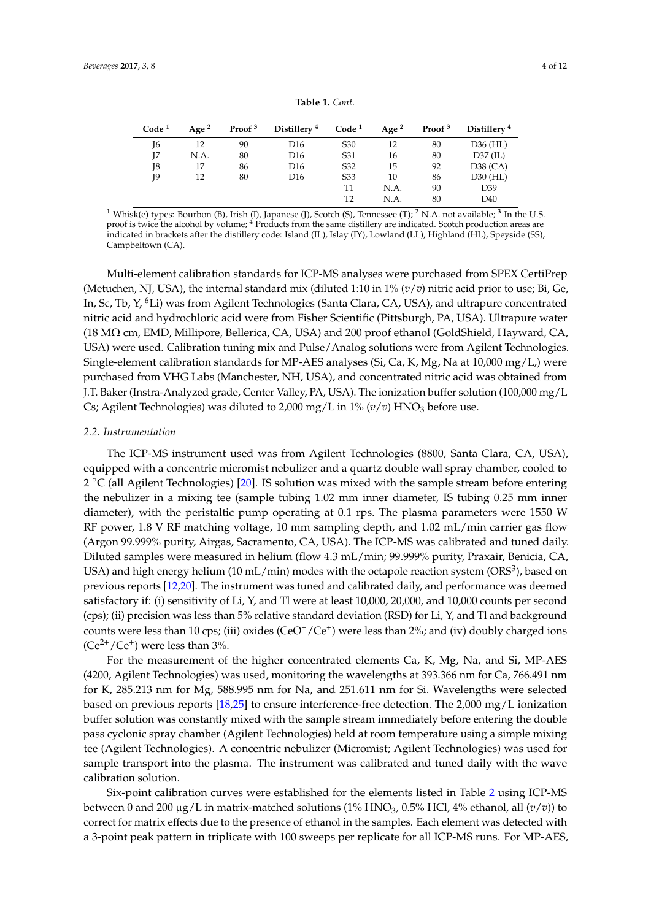<span id="page-3-0"></span>

| Code <sup>1</sup> | Age $2$ | Proof $3$ | Distillery <sup>4</sup> | Code <sup>1</sup> | Age $^2$ | Proof <sup>3</sup> | Distillery <sup>4</sup> |
|-------------------|---------|-----------|-------------------------|-------------------|----------|--------------------|-------------------------|
| J6                | 12      | 90        | D <sub>16</sub>         | S <sub>30</sub>   | 12       | 80                 | D36 (HL)                |
| Ţ7                | N.A.    | 80        | D <sub>16</sub>         | S31               | 16       | 80                 | $D37$ (IL)              |
| J8                | 17      | 86        | D <sub>16</sub>         | S32               | 15       | 92                 | $D38$ (CA)              |
| J9                | 12      | 80        | D <sub>16</sub>         | S33               | 10       | 86                 | $D30$ (HL)              |
|                   |         |           |                         | Τ1                | N.A.     | 90                 | D <sub>39</sub>         |
|                   |         |           |                         | T <sub>2</sub>    | N.A.     | 80                 | D <sub>40</sub>         |

**Table 1.** *Cont.*

 $^1$  Whisk(e) types: Bourbon (B), Irish (I), Japanese (J), Scotch (S), Tennessee (T);  $^2$  N.A. not available;  $^3$  In the U.S. proof is twice the alcohol by volume; <sup>4</sup> Products from the same distillery are indicated. Scotch production areas are indicated in brackets after the distillery code: Island (IL), Islay (IY), Lowland (LL), Highland (HL), Speyside (SS), Campbeltown (CA).

Multi-element calibration standards for ICP-MS analyses were purchased from SPEX CertiPrep (Metuchen, NJ, USA), the internal standard mix (diluted 1:10 in 1% (*v*/*v*) nitric acid prior to use; Bi, Ge, In, Sc, Tb, Y, <sup>6</sup>Li) was from Agilent Technologies (Santa Clara, CA, USA), and ultrapure concentrated nitric acid and hydrochloric acid were from Fisher Scientific (Pittsburgh, PA, USA). Ultrapure water (18 MΩ cm, EMD, Millipore, Bellerica, CA, USA) and 200 proof ethanol (GoldShield, Hayward, CA, USA) were used. Calibration tuning mix and Pulse/Analog solutions were from Agilent Technologies. Single-element calibration standards for MP-AES analyses (Si, Ca, K, Mg, Na at 10,000 mg/L,) were purchased from VHG Labs (Manchester, NH, USA), and concentrated nitric acid was obtained from J.T. Baker (Instra-Analyzed grade, Center Valley, PA, USA). The ionization buffer solution (100,000 mg/L Cs; Agilent Technologies) was diluted to 2,000 mg/L in  $1\%$  ( $v/v$ ) HNO<sub>3</sub> before use.

#### *2.2. Instrumentation*

The ICP-MS instrument used was from Agilent Technologies (8800, Santa Clara, CA, USA), equipped with a concentric micromist nebulizer and a quartz double wall spray chamber, cooled to 2 °C (all Agilent Technologies) [\[20\]](#page-10-12). IS solution was mixed with the sample stream before entering the nebulizer in a mixing tee (sample tubing 1.02 mm inner diameter, IS tubing 0.25 mm inner diameter), with the peristaltic pump operating at 0.1 rps. The plasma parameters were 1550 W RF power, 1.8 V RF matching voltage, 10 mm sampling depth, and 1.02 mL/min carrier gas flow (Argon 99.999% purity, Airgas, Sacramento, CA, USA). The ICP-MS was calibrated and tuned daily. Diluted samples were measured in helium (flow 4.3 mL/min; 99.999% purity, Praxair, Benicia, CA, USA) and high energy helium (10 mL/min) modes with the octapole reaction system (ORS $^3$ ), based on previous reports [\[12,](#page-10-4)[20\]](#page-10-12). The instrument was tuned and calibrated daily, and performance was deemed satisfactory if: (i) sensitivity of Li, Y, and Tl were at least 10,000, 20,000, and 10,000 counts per second (cps); (ii) precision was less than 5% relative standard deviation (RSD) for Li, Y, and Tl and background counts were less than 10 cps; (iii) oxides (CeO<sup>+</sup>/Ce<sup>+</sup>) were less than 2%; and (iv) doubly charged ions  $(Ce^{2+}/Ce^{+})$  were less than 3%.

For the measurement of the higher concentrated elements Ca, K, Mg, Na, and Si, MP-AES (4200, Agilent Technologies) was used, monitoring the wavelengths at 393.366 nm for Ca, 766.491 nm for K, 285.213 nm for Mg, 588.995 nm for Na, and 251.611 nm for Si. Wavelengths were selected based on previous reports [\[18,](#page-10-10)[25\]](#page-10-15) to ensure interference-free detection. The 2,000 mg/L ionization buffer solution was constantly mixed with the sample stream immediately before entering the double pass cyclonic spray chamber (Agilent Technologies) held at room temperature using a simple mixing tee (Agilent Technologies). A concentric nebulizer (Micromist; Agilent Technologies) was used for sample transport into the plasma. The instrument was calibrated and tuned daily with the wave calibration solution.

Six-point calibration curves were established for the elements listed in Table [2](#page-4-0) using ICP-MS between 0 and 200  $\mu$ g/L in matrix-matched solutions (1% HNO<sub>3</sub>, 0.5% HCl, 4% ethanol, all ( $v/v$ )) to correct for matrix effects due to the presence of ethanol in the samples. Each element was detected with a 3-point peak pattern in triplicate with 100 sweeps per replicate for all ICP-MS runs. For MP-AES,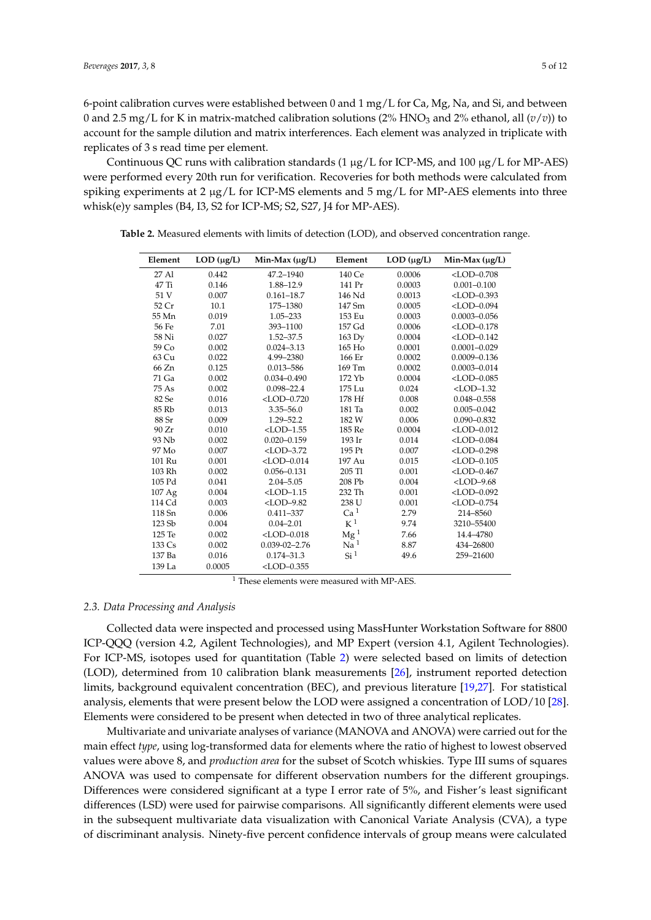6-point calibration curves were established between 0 and 1 mg/L for Ca, Mg, Na, and Si, and between 0 and 2.5 mg/L for K in matrix-matched calibration solutions (2% HNO<sub>3</sub> and 2% ethanol, all  $(v/v)$ ) to account for the sample dilution and matrix interferences. Each element was analyzed in triplicate with replicates of 3 s read time per element.

Continuous QC runs with calibration standards (1  $\mu$ g/L for ICP-MS, and 100  $\mu$ g/L for MP-AES) were performed every 20th run for verification. Recoveries for both methods were calculated from spiking experiments at 2  $\mu$ g/L for ICP-MS elements and 5 mg/L for MP-AES elements into three whisk(e)y samples (B4, I3, S2 for ICP-MS; S2, S27, J4 for MP-AES).

| Element | $LOD$ ( $\mu$ g/L) | Min-Max $(\mu g/L)$ | Element         | $LOD$ ( $\mu$ g/L) | Min-Max (µg/L)   |
|---------|--------------------|---------------------|-----------------|--------------------|------------------|
| 27 Al   | 0.442              | 47.2-1940           | 140 Ce          | 0.0006             | $<$ LOD $-0.708$ |
| $47$ Ti | 0.146              | 1.88-12.9           | 141 Pr          | 0.0003             | $0.001 - 0.100$  |
| 51 V    | 0.007              | $0.161 - 18.7$      | 146 Nd          | 0.0013             | $<$ LOD $-0.393$ |
| 52 Cr   | 10.1               | 175-1380            | 147 Sm          | 0.0005             | $<$ LOD $-0.094$ |
| 55 Mn   | 0.019              | 1.05-233            | 153 Eu          | 0.0003             | $0.0003 - 0.056$ |
| 56 Fe   | 7.01               | 393-1100            | 157 Gd          | 0.0006             | $<$ LOD $-0.178$ |
| 58 Ni   | 0.027              | $1.52 - 37.5$       | 163 Dv          | 0.0004             | $<$ LOD $-0.142$ |
| 59 Co   | 0.002              | $0.024 - 3.13$      | 165 Ho          | 0.0001             | $0.0001 - 0.029$ |
| 63 Cu   | 0.022              | 4.99-2380           | 166 Er          | 0.0002             | $0.0009 - 0.136$ |
| 66 Zn   | 0.125              | 0.013-586           | 169 Tm          | 0.0002             | $0.0003 - 0.014$ |
| 71 Ga   | 0.002              | $0.034 - 0.490$     | 172 Yb          | 0.0004             | $<$ LOD $-0.085$ |
| 75 As   | 0.002              | $0.098 - 22.4$      | 175 Lu          | 0.024              | $<$ LOD $-1.32$  |
| 82 Se   | 0.016              | $<$ LOD $-0.720$    | 178 Hf          | 0.008              | $0.048 - 0.558$  |
| 85 Rb   | 0.013              | $3.35 - 56.0$       | 181 Ta          | 0.002              | $0.005 - 0.042$  |
| 88 Sr   | 0.009              | $1.29 - 52.2$       | 182 W           | 0.006              | $0.090 - 0.832$  |
| 90 Zr   | 0.010              | $<$ LOD $-1.55$     | 185 Re          | 0.0004             | $<$ LOD $-0.012$ |
| 93 Nb   | 0.002              | $0.020 - 0.159$     | 193 Ir          | 0.014              | $<$ LOD $-0.084$ |
| 97 Mo   | 0.007              | $<$ LOD $-3.72$     | 195 Pt          | 0.007              | $<$ LOD $-0.298$ |
| 101 Ru  | 0.001              | $<$ LOD $-0.014$    | 197 Au          | 0.015              | $<$ LOD $-0.105$ |
| 103 Rh  | 0.002              | $0.056 - 0.131$     | 205 Tl          | 0.001              | $<$ LOD $-0.467$ |
| 105 Pd  | 0.041              | $2.04 - 5.05$       | 208 Pb          | 0.004              | $<$ LOD $-9.68$  |
| 107Ag   | 0.004              | $<$ LOD $-1.15$     | 232 Th          | 0.001              | $<$ LOD $-0.092$ |
| 114 Cd  | 0.003              | $<$ LOD-9.82        | 238 U           | 0.001              | $<$ LOD $-0.754$ |
| 118 Sn  | 0.006              | $0.411 - 337$       | Ca <sup>1</sup> | 2.79               | 214-8560         |
| 123 Sb  | 0.004              | $0.04 - 2.01$       | $K^1$           | 9.74               | 3210-55400       |
| 125 Te  | 0.002              | $<$ LOD $-0.018$    | $\text{Mg}^1$   | 7.66               | 14.4-4780        |
| 133 Cs  | 0.002              | $0.039 - 02 - 2.76$ | Na <sup>1</sup> | 8.87               | 434-26800        |
| 137 Ba  | 0.016              | $0.174 - 31.3$      | Si <sup>1</sup> | 49.6               | 259-21600        |
| 139 La  | 0.0005             | $<$ LOD $-0.355$    |                 |                    |                  |

<span id="page-4-0"></span>**Table 2.** Measured elements with limits of detection (LOD), and observed concentration range.

<sup>1</sup> These elements were measured with MP-AES.

#### *2.3. Data Processing and Analysis*

Collected data were inspected and processed using MassHunter Workstation Software for 8800 ICP-QQQ (version 4.2, Agilent Technologies), and MP Expert (version 4.1, Agilent Technologies). For ICP-MS, isotopes used for quantitation (Table [2\)](#page-4-0) were selected based on limits of detection (LOD), determined from 10 calibration blank measurements [\[26\]](#page-10-16), instrument reported detection limits, background equivalent concentration (BEC), and previous literature [\[19](#page-10-11)[,27\]](#page-10-17). For statistical analysis, elements that were present below the LOD were assigned a concentration of LOD/10 [\[28\]](#page-10-18). Elements were considered to be present when detected in two of three analytical replicates.

Multivariate and univariate analyses of variance (MANOVA and ANOVA) were carried out for the main effect *type*, using log-transformed data for elements where the ratio of highest to lowest observed values were above 8, and *production area* for the subset of Scotch whiskies. Type III sums of squares ANOVA was used to compensate for different observation numbers for the different groupings. Differences were considered significant at a type I error rate of 5%, and Fisher's least significant differences (LSD) were used for pairwise comparisons. All significantly different elements were used in the subsequent multivariate data visualization with Canonical Variate Analysis (CVA), a type of discriminant analysis. Ninety-five percent confidence intervals of group means were calculated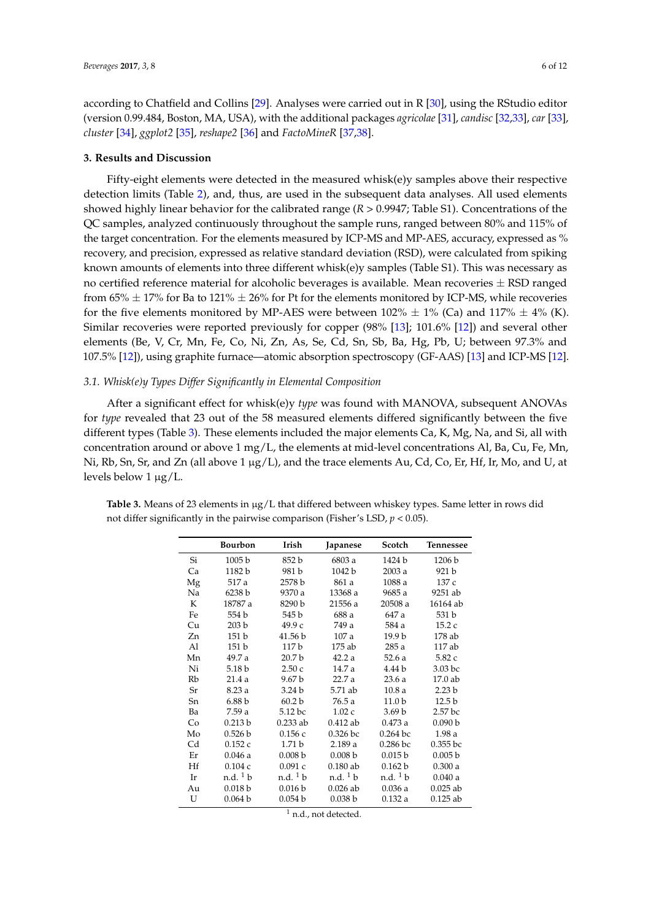according to Chatfield and Collins [\[29\]](#page-10-19). Analyses were carried out in R [\[30\]](#page-10-20), using the RStudio editor (version 0.99.484, Boston, MA, USA), with the additional packages *agricolae* [\[31\]](#page-10-21), *candisc* [\[32](#page-11-0)[,33\]](#page-11-1), *car* [\[33\]](#page-11-1), *cluster* [\[34\]](#page-11-2), *ggplot2* [\[35\]](#page-11-3), *reshape2* [\[36\]](#page-11-4) and *FactoMineR* [\[37](#page-11-5)[,38\]](#page-11-6).

#### **3. Results and Discussion**

Fifty-eight elements were detected in the measured whisk(e)y samples above their respective detection limits (Table [2\)](#page-4-0), and, thus, are used in the subsequent data analyses. All used elements showed highly linear behavior for the calibrated range (*R* > 0.9947; Table S1). Concentrations of the QC samples, analyzed continuously throughout the sample runs, ranged between 80% and 115% of the target concentration. For the elements measured by ICP-MS and MP-AES, accuracy, expressed as % recovery, and precision, expressed as relative standard deviation (RSD), were calculated from spiking known amounts of elements into three different whisk(e)y samples (Table S1). This was necessary as no certified reference material for alcoholic beverages is available. Mean recoveries  $\pm$  RSD ranged from 65%  $\pm$  17% for Ba to 121%  $\pm$  26% for Pt for the elements monitored by ICP-MS, while recoveries for the five elements monitored by MP-AES were between  $102\% \pm 1\%$  (Ca) and  $117\% \pm 4\%$  (K). Similar recoveries were reported previously for copper (98% [\[13\]](#page-10-8); 101.6% [\[12\]](#page-10-4)) and several other elements (Be, V, Cr, Mn, Fe, Co, Ni, Zn, As, Se, Cd, Sn, Sb, Ba, Hg, Pb, U; between 97.3% and 107.5% [\[12\]](#page-10-4)), using graphite furnace—atomic absorption spectroscopy (GF-AAS) [\[13\]](#page-10-8) and ICP-MS [\[12\]](#page-10-4).

#### *3.1. Whisk(e)y Types Differ Significantly in Elemental Composition*

After a significant effect for whisk(e)y *type* was found with MANOVA, subsequent ANOVAs for *type* revealed that 23 out of the 58 measured elements differed significantly between the five different types (Table [3\)](#page-5-0). These elements included the major elements Ca, K, Mg, Na, and Si, all with concentration around or above 1 mg/L, the elements at mid-level concentrations Al, Ba, Cu, Fe, Mn, Ni, Rb, Sn, Sr, and Zn (all above 1  $\mu$ g/L), and the trace elements Au, Cd, Co, Er, Hf, Ir, Mo, and U, at levels below  $1 \mu g/L$ .

|    | <b>Bourbon</b>          | Irish                   | Japanese                | Scotch                  | Tennessee         |
|----|-------------------------|-------------------------|-------------------------|-------------------------|-------------------|
| Si | 1005 b                  | 852 b                   | 6803 a                  | 1424 b                  | 1206 b            |
| Ca | 1182 b                  | 981 b                   | 1042 b                  | 2003 a                  | 921 b             |
| Mg | 517 a                   | 2578 b                  | 861 a                   | 1088 a                  | 137 c             |
| Na | 6238 b                  | 9370 a                  | 13368 a                 | 9685 a                  | 9251 ab           |
| K  | 18787 a                 | 8290 b                  | 21556 a                 | 20508 a                 | 16164 ab          |
| Fe | 554 b                   | 545 b                   | 688 a                   | 647 a                   | 531 b             |
| Cu | 203 <sub>b</sub>        | 49.9 с                  | 749 a                   | 584 a                   | 15.2c             |
| Zn | 151 <sub>b</sub>        | 41.56 b                 | 107a                    | 19.9 b                  | 178 ab            |
| Al | 151 <sub>b</sub>        | 117 <sub>b</sub>        | 175 ab                  | 285 a                   | 117 ab            |
| Mn | 49.7 a                  | 20.7 <sub>b</sub>       | 42.2a                   | 52.6a                   | 5.82 c            |
| Ni | 5.18 b                  | 2.50c                   | 14.7 a                  | 4.44 b                  | 3.03 bc           |
| Rb | 21.4a                   | 9.67 b                  | 22.7 a                  | 23.6 a                  | 17.0 ab           |
| Sr | 8.23a                   | 3.24 <sub>b</sub>       | 5.71 ab                 | 10.8a                   | 2.23 <sub>b</sub> |
| Sn | 6.88 <sub>b</sub>       | 60.2 <sub>b</sub>       | 76.5 a                  | 11.0 <sub>b</sub>       | 12.5 <sub>b</sub> |
| Ba | 7.59 a                  | 5.12 bc                 | 1.02c                   | 3.69 <sub>b</sub>       | 2.57 bc           |
| Co | 0.213 b                 | $0.233$ ab              | $0.412$ ab              | 0.473a                  | 0.090 b           |
| Mo | 0.526 b                 | 0.156c                  | 0.326 bc                | $0.264$ bc              | 1.98a             |
| Cd | 0.152c                  | 1.71 <sub>b</sub>       | 2.189a                  | $0.286$ bc              | 0.355bc           |
| Er | 0.046a                  | 0.008 b                 | 0.008 b                 | 0.015 b                 | 0.005 b           |
| Hf | 0.104c                  | 0.091c                  | $0.180$ ab              | 0.162 b                 | 0.300a            |
| Ir | $n.d.$ <sup>1</sup> $b$ | $n.d.$ <sup>1</sup> $b$ | $n.d.$ <sup>1</sup> $b$ | $n.d.$ <sup>1</sup> $b$ | 0.040a            |
| Au | 0.018 b                 | 0.016 b                 | $0.026$ ab              | 0.036a                  | $0.025$ ab        |
| U  | 0.064 b                 | 0.054 b                 | 0.038 b                 | 0.132a                  | $0.125$ ab        |

<span id="page-5-0"></span>**Table 3.** Means of 23 elements in µg/L that differed between whiskey types. Same letter in rows did not differ significantly in the pairwise comparison (Fisher's LSD, *p* < 0.05).

 $1$  n.d., not detected.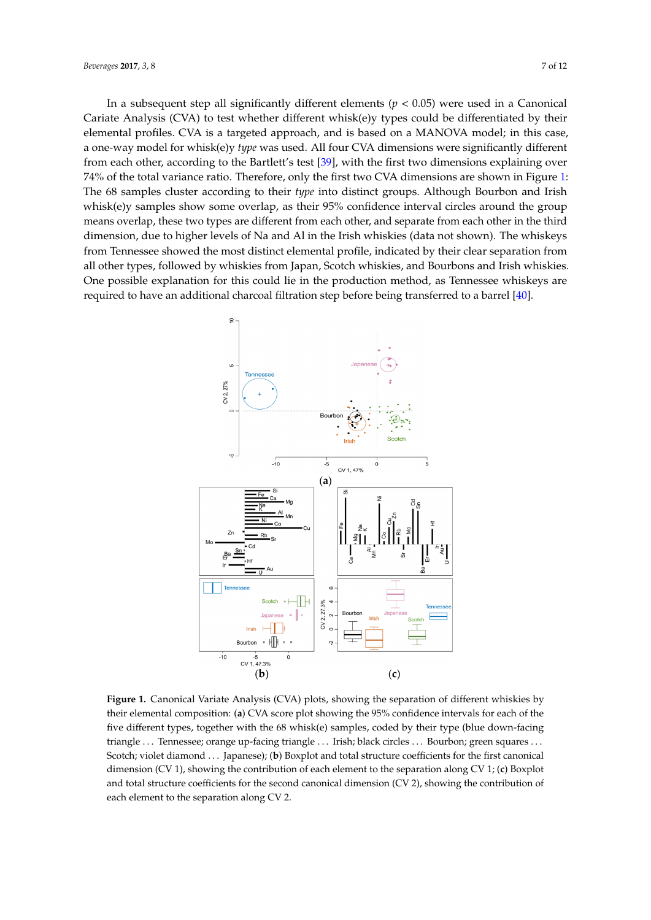In a subsequent step all significantly different elements (*p* < 0.05) were used in a Canonical In a subsequent step all significantly different elements (*p* < 0.05) were used in a Canonical Cariate Analysis (CVA) to test whether different whisk(e)y types could be differentiated by their Cariate Analysis (CVA) to test whether different whisk(e)y types could be differentiated by their elemental profiles. CVA is a targeted approach, and is based on a MANOVA model; in this case, elemental profiles. CVA is a targeted approach, and is based on a MANOVA model; in this case, a a one-way model for whisk(e)y *type* was used. All four CVA dimensions were significantly different one‐way model for whisk(e)y *type* was used. All four CVA dimensions were significantly different from each other, according to the Bartlett's test [\[39\]](#page-11-7), with the first two dimensions explaining over from each other, according to the Bartlett's test [39], with the first two dimensions explaining over 74% of the total variance ratio. Therefore, only the first two CVA dimensions are shown in Figure 1: 74% of the total variance ratio. Therefore, only the first two CVA dimensions are shown in Figure [1:](#page-6-0) The 68 samples cluster according to their *type* into distinct groups. Although Bourbon and Irish The 68 samples cluster according to their *type* into distinct groups. Although Bourbon and Irish whisk(e)y samples show some overlap, as their 95% confidence interval circles around the group whisk(e)y samples show some overlap, as their 95% confidence interval circles around the group means overlap, these two types are different from each other, and separate from each other in the third means overlap, these two types are different from each other, and separate from each other in the dimension, due to higher levels of Na and Al in the Irish whiskies (data not shown). The whiskeys from Tennessee showed the most distinct elemental profile, indicated by their clear separation from all other types, followed by whiskies from Japan, Scotch whiskies, and Bourbons and Irish whiskies. One possible explanation for this could lie in the production method, as Tennessee whiskeys are required to have an additional charcoal filtration step before being transferred to a barrel [\[40\]](#page-11-8).

<span id="page-6-0"></span>

**Figure 1.** Canonical Variate Analysis (CVA) plots, showing the separation of different whiskies by **Figure 1.** Canonical Variate Analysis (CVA) plots, showing the separation of different whiskies by their elemental composition: (**a**) CVA score plot showing the 95% confidence intervals for each of the their elemental composition: (**a**) CVA score plot showing the 95% confidence intervals for each of the five different types, together with the 68 whisk(e) samples, coded by their type (blue down‐facing five different types, together with the 68 whisk(e) samples, coded by their type (blue down-facing triangle … Tennessee; orange up‐facing triangle … Irish; black circles … Bourbon; green squares … triangle . . . Tennessee; orange up-facing triangle . . . Irish; black circles . . . Bourbon; green squares . . . Scotch; violet diamond ... Japanese); (b) Boxplot and total structure coefficients for the first canonical dimension (CV 1), showing the contribution of each element to the separation along CV 1; (**c**) Boxplot dimension (CV 1), showing the contribution of each element to the separation along CV 1; (**c**) Boxplot and total structure coefficients for the second canonical dimension (CV 2), showing the contribution and total structure coefficients for the second canonical dimension (CV 2), showing the contribution of each element to the separation along CV 2.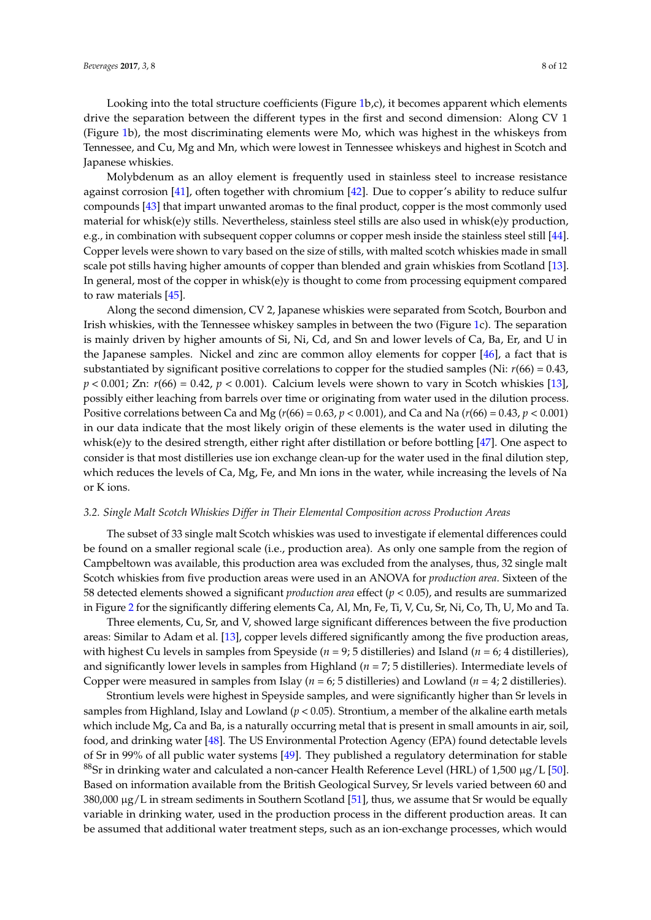Looking into the total structure coefficients (Figure [1b](#page-6-0),c), it becomes apparent which elements drive the separation between the different types in the first and second dimension: Along CV 1 (Figure [1b](#page-6-0)), the most discriminating elements were Mo, which was highest in the whiskeys from Tennessee, and Cu, Mg and Mn, which were lowest in Tennessee whiskeys and highest in Scotch and Japanese whiskies.

Molybdenum as an alloy element is frequently used in stainless steel to increase resistance against corrosion [\[41\]](#page-11-9), often together with chromium [\[42\]](#page-11-10). Due to copper's ability to reduce sulfur compounds [\[43\]](#page-11-11) that impart unwanted aromas to the final product, copper is the most commonly used material for whisk(e)y stills. Nevertheless, stainless steel stills are also used in whisk(e)y production, e.g., in combination with subsequent copper columns or copper mesh inside the stainless steel still [\[44\]](#page-11-12). Copper levels were shown to vary based on the size of stills, with malted scotch whiskies made in small scale pot stills having higher amounts of copper than blended and grain whiskies from Scotland [\[13\]](#page-10-8). In general, most of the copper in whisk(e)y is thought to come from processing equipment compared to raw materials [\[45\]](#page-11-13).

Along the second dimension, CV 2, Japanese whiskies were separated from Scotch, Bourbon and Irish whiskies, with the Tennessee whiskey samples in between the two (Figure [1c](#page-6-0)). The separation is mainly driven by higher amounts of Si, Ni, Cd, and Sn and lower levels of Ca, Ba, Er, and U in the Japanese samples. Nickel and zinc are common alloy elements for copper [\[46\]](#page-11-14), a fact that is substantiated by significant positive correlations to copper for the studied samples (Ni: *r*(66) = 0.43,  $p < 0.001$ ; Zn:  $r(66) = 0.42$ ,  $p < 0.001$ ). Calcium levels were shown to vary in Scotch whiskies [\[13\]](#page-10-8), possibly either leaching from barrels over time or originating from water used in the dilution process. Positive correlations between Ca and Mg (*r*(66) = 0.63, *p* < 0.001), and Ca and Na (*r*(66) = 0.43, *p* < 0.001) in our data indicate that the most likely origin of these elements is the water used in diluting the whisk(e)y to the desired strength, either right after distillation or before bottling [\[47\]](#page-11-15). One aspect to consider is that most distilleries use ion exchange clean-up for the water used in the final dilution step, which reduces the levels of Ca, Mg, Fe, and Mn ions in the water, while increasing the levels of Na or K ions.

#### *3.2. Single Malt Scotch Whiskies Differ in Their Elemental Composition across Production Areas*

The subset of 33 single malt Scotch whiskies was used to investigate if elemental differences could be found on a smaller regional scale (i.e., production area). As only one sample from the region of Campbeltown was available, this production area was excluded from the analyses, thus, 32 single malt Scotch whiskies from five production areas were used in an ANOVA for *production area*. Sixteen of the 58 detected elements showed a significant *production area* effect (*p* < 0.05), and results are summarized in Figure [2](#page-8-0) for the significantly differing elements Ca, Al, Mn, Fe, Ti, V, Cu, Sr, Ni, Co, Th, U, Mo and Ta.

Three elements, Cu, Sr, and V, showed large significant differences between the five production areas: Similar to Adam et al. [\[13\]](#page-10-8), copper levels differed significantly among the five production areas, with highest Cu levels in samples from Speyside (*n* = 9; 5 distilleries) and Island (*n* = 6; 4 distilleries), and significantly lower levels in samples from Highland (*n* = 7; 5 distilleries). Intermediate levels of Copper were measured in samples from Islay (*n* = 6; 5 distilleries) and Lowland (*n* = 4; 2 distilleries).

Strontium levels were highest in Speyside samples, and were significantly higher than Sr levels in samples from Highland, Islay and Lowland ( $p < 0.05$ ). Strontium, a member of the alkaline earth metals which include Mg, Ca and Ba, is a naturally occurring metal that is present in small amounts in air, soil, food, and drinking water [\[48\]](#page-11-16). The US Environmental Protection Agency (EPA) found detectable levels of Sr in 99% of all public water systems [\[49\]](#page-11-17). They published a regulatory determination for stable <sup>88</sup>Sr in drinking water and calculated a non-cancer Health Reference Level (HRL) of 1,500  $\mu$ g/L [\[50\]](#page-11-18). Based on information available from the British Geological Survey, Sr levels varied between 60 and  $380,000 \mu$ g/L in stream sediments in Southern Scotland [\[51\]](#page-11-19), thus, we assume that Sr would be equally variable in drinking water, used in the production process in the different production areas. It can be assumed that additional water treatment steps, such as an ion-exchange processes, which would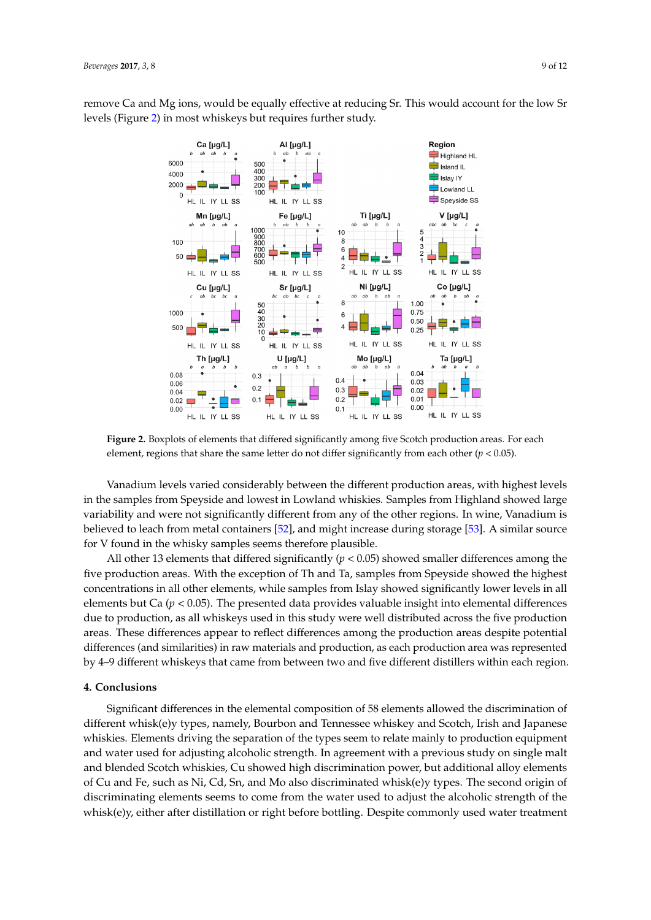<span id="page-8-0"></span>remove Ca and Mg ions, would be equally effective at reducing Sr. This would account for the low Sr levels (Figure [2\)](#page-8-0) in most whiskeys but requires further study.



**Figure 2.** Boxplots of elements that differed significantly among five Scotch production areas. For **Figure 2.** Boxplots of elements that differed significantly among five Scotch production areas. For each element, regions that share the same letter do not differ significantly from each other ( $p < 0.05$ ).

Vanadium levels varied considerably between the different production areas, with highest levels in the samples from Speyside and lowest in Lowland whiskies. Samples from Highland showed large variability and were not significantly different from any of the other regions. In wine, Vanadium is believed to leach from metal containers [\[52\]](#page-11-20), and might increase during storage [\[53\]](#page-11-21). A similar source for V found in the whisky samples seems therefore plausible.

All other 13 elements that differed significantly ( $p < 0.05$ ) showed smaller differences among the five production areas. With the exception of Th and Ta, samples from Speyside showed the highest concentrations in all other elements, while samples from Islay showed significantly lower levels in all elements but Ca (*p* < 0.05). The presented data provides valuable insight into elemental differences due to production, as all whiskeys used in this study were well distributed across the five production areas. These differences appear to reflect differences among the production areas despite potential differences (and similarities) in raw materials and production, as each production area was represented by 4–9 different whiskeys that came from between two and five different distillers within each region.

#### that allowed differentiation by production area within Scotland. Again, copper levels varied **Execution and significantly activities** the five production areas, but V and Sr showed similar similar similar similar similar similar similar similar similar similar similar similar similar similar similar similar simila **4. Conclusions**

Significant differences in the elemental composition of 58 elements allowed the discrimination of different whisk(e)y types, namely, Bourbon and Tennessee whiskey and Scotch, Irish and Japanese whiskies. Elements driving the separation of the types seem to relate mainly to production equipment and water used for adjusting alcoholic strength. In agreement with a previous study on single malt and blended Scotch whiskies, Cu showed high discrimination power, but additional alloy elements of Cu and Fe, such as Ni, Cd, Sn, and Mo also discriminated whisk(e)y types. The second origin of discriminating elements seems to come from the water used to adjust the alcoholic strength of the whisk(e)y, either after distillation or right before bottling. Despite commonly used water treatment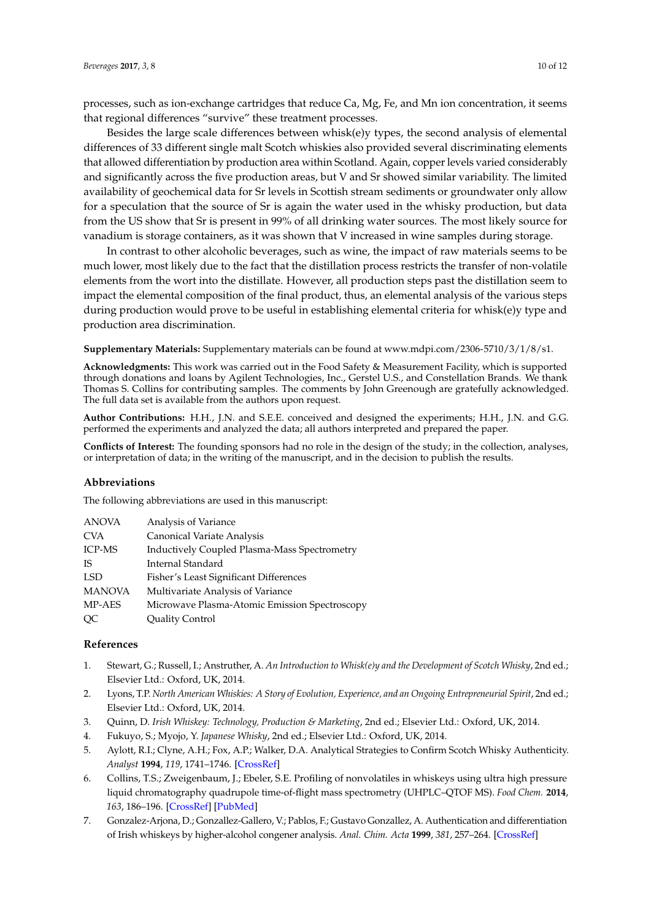processes, such as ion-exchange cartridges that reduce Ca, Mg, Fe, and Mn ion concentration, it seems that regional differences "survive" these treatment processes.

Besides the large scale differences between whisk(e)y types, the second analysis of elemental differences of 33 different single malt Scotch whiskies also provided several discriminating elements that allowed differentiation by production area within Scotland. Again, copper levels varied considerably and significantly across the five production areas, but V and Sr showed similar variability. The limited availability of geochemical data for Sr levels in Scottish stream sediments or groundwater only allow for a speculation that the source of Sr is again the water used in the whisky production, but data from the US show that Sr is present in 99% of all drinking water sources. The most likely source for vanadium is storage containers, as it was shown that V increased in wine samples during storage.

In contrast to other alcoholic beverages, such as wine, the impact of raw materials seems to be much lower, most likely due to the fact that the distillation process restricts the transfer of non-volatile elements from the wort into the distillate. However, all production steps past the distillation seem to impact the elemental composition of the final product, thus, an elemental analysis of the various steps during production would prove to be useful in establishing elemental criteria for whisk(e)y type and production area discrimination.

**Supplementary Materials:** Supplementary materials can be found at [www.mdpi.com/2306-5710/3/1/8/s1.](www.mdpi.com/2306-5710/3/1/8/s1)

**Acknowledgments:** This work was carried out in the Food Safety & Measurement Facility, which is supported through donations and loans by Agilent Technologies, Inc., Gerstel U.S., and Constellation Brands. We thank Thomas S. Collins for contributing samples. The comments by John Greenough are gratefully acknowledged. The full data set is available from the authors upon request.

**Author Contributions:** H.H., J.N. and S.E.E. conceived and designed the experiments; H.H., J.N. and G.G. performed the experiments and analyzed the data; all authors interpreted and prepared the paper.

**Conflicts of Interest:** The founding sponsors had no role in the design of the study; in the collection, analyses, or interpretation of data; in the writing of the manuscript, and in the decision to publish the results.

#### **Abbreviations**

The following abbreviations are used in this manuscript:

| <b>ANOVA</b>  | Analysis of Variance                                |
|---------------|-----------------------------------------------------|
| CVA           | Canonical Variate Analysis                          |
| ICP-MS        | <b>Inductively Coupled Plasma-Mass Spectrometry</b> |
| IS            | Internal Standard                                   |
| LSD           | Fisher's Least Significant Differences              |
| <b>MANOVA</b> | Multivariate Analysis of Variance                   |
| MP-AES        | Microwave Plasma-Atomic Emission Spectroscopy       |
| OС            | <b>Quality Control</b>                              |

#### **References**

- <span id="page-9-0"></span>1. Stewart, G.; Russell, I.; Anstruther, A. *An Introduction to Whisk(e)y and the Development of Scotch Whisky*, 2nd ed.; Elsevier Ltd.: Oxford, UK, 2014.
- <span id="page-9-1"></span>2. Lyons, T.P. *North American Whiskies: A Story of Evolution, Experience, and an Ongoing Entrepreneurial Spirit*, 2nd ed.; Elsevier Ltd.: Oxford, UK, 2014.
- <span id="page-9-2"></span>3. Quinn, D. *Irish Whiskey: Technology, Production & Marketing*, 2nd ed.; Elsevier Ltd.: Oxford, UK, 2014.
- <span id="page-9-3"></span>4. Fukuyo, S.; Myojo, Y. *Japanese Whisky*, 2nd ed.; Elsevier Ltd.: Oxford, UK, 2014.
- <span id="page-9-4"></span>5. Aylott, R.I.; Clyne, A.H.; Fox, A.P.; Walker, D.A. Analytical Strategies to Confirm Scotch Whisky Authenticity. *Analyst* **1994**, *119*, 1741–1746. [\[CrossRef\]](http://dx.doi.org/10.1039/an9941901741)
- <span id="page-9-5"></span>6. Collins, T.S.; Zweigenbaum, J.; Ebeler, S.E. Profiling of nonvolatiles in whiskeys using ultra high pressure liquid chromatography quadrupole time-of-flight mass spectrometry (UHPLC–QTOF MS). *Food Chem.* **2014**, *163*, 186–196. [\[CrossRef\]](http://dx.doi.org/10.1016/j.foodchem.2014.04.095) [\[PubMed\]](http://www.ncbi.nlm.nih.gov/pubmed/24912715)
- <span id="page-9-6"></span>7. Gonzalez-Arjona, D.; Gonzallez-Gallero, V.; Pablos, F.; Gustavo Gonzallez, A. Authentication and differentiation of Irish whiskeys by higher-alcohol congener analysis. *Anal. Chim. Acta* **1999**, *381*, 257–264. [\[CrossRef\]](http://dx.doi.org/10.1016/S0003-2670(98)00764-8)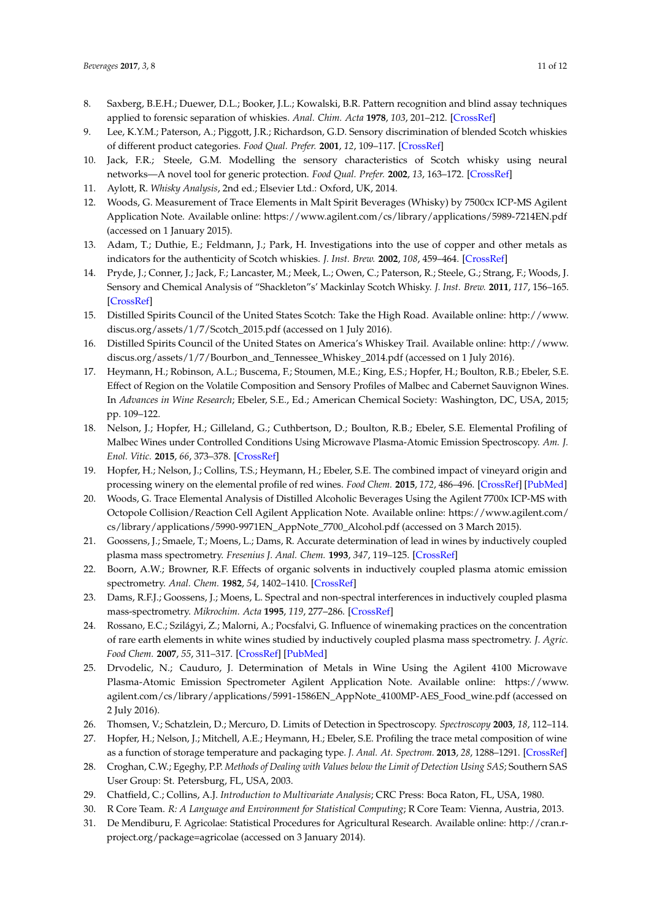- <span id="page-10-0"></span>8. Saxberg, B.E.H.; Duewer, D.L.; Booker, J.L.; Kowalski, B.R. Pattern recognition and blind assay techniques applied to forensic separation of whiskies. *Anal. Chim. Acta* **1978**, *103*, 201–212. [\[CrossRef\]](http://dx.doi.org/10.1016/S0003-2670(01)84039-3)
- <span id="page-10-1"></span>9. Lee, K.Y.M.; Paterson, A.; Piggott, J.R.; Richardson, G.D. Sensory discrimination of blended Scotch whiskies of different product categories. *Food Qual. Prefer.* **2001**, *12*, 109–117. [\[CrossRef\]](http://dx.doi.org/10.1016/S0950-3293(00)00037-9)
- <span id="page-10-2"></span>10. Jack, F.R.; Steele, G.M. Modelling the sensory characteristics of Scotch whisky using neural networks—A novel tool for generic protection. *Food Qual. Prefer.* **2002**, *13*, 163–172. [\[CrossRef\]](http://dx.doi.org/10.1016/S0950-3293(02)00012-5)
- <span id="page-10-3"></span>11. Aylott, R. *Whisky Analysis*, 2nd ed.; Elsevier Ltd.: Oxford, UK, 2014.
- <span id="page-10-4"></span>12. Woods, G. Measurement of Trace Elements in Malt Spirit Beverages (Whisky) by 7500cx ICP-MS Agilent Application Note. Available online: <https://www.agilent.com/cs/library/applications/5989-7214EN.pdf> (accessed on 1 January 2015).
- <span id="page-10-8"></span>13. Adam, T.; Duthie, E.; Feldmann, J.; Park, H. Investigations into the use of copper and other metals as indicators for the authenticity of Scotch whiskies. *J. Inst. Brew.* **2002**, *108*, 459–464. [\[CrossRef\]](http://dx.doi.org/10.1002/j.2050-0416.2002.tb00576.x)
- <span id="page-10-5"></span>14. Pryde, J.; Conner, J.; Jack, F.; Lancaster, M.; Meek, L.; Owen, C.; Paterson, R.; Steele, G.; Strang, F.; Woods, J. Sensory and Chemical Analysis of "Shackleton"s' Mackinlay Scotch Whisky. *J. Inst. Brew.* **2011**, *117*, 156–165. [\[CrossRef\]](http://dx.doi.org/10.1002/j.2050-0416.2011.tb00455.x)
- <span id="page-10-6"></span>15. Distilled Spirits Council of the United States Scotch: Take the High Road. Available online: [http://www.](http://www.discus.org/assets/1/7/Scotch_2015.pdf) [discus.org/assets/1/7/Scotch\\_2015.pdf](http://www.discus.org/assets/1/7/Scotch_2015.pdf) (accessed on 1 July 2016).
- <span id="page-10-7"></span>16. Distilled Spirits Council of the United States on America's Whiskey Trail. Available online: [http://www.](http://www.discus.org/assets/1/7/Bourbon_and_Tennessee_Whiskey_2014.pdf) [discus.org/assets/1/7/Bourbon\\_and\\_Tennessee\\_Whiskey\\_2014.pdf](http://www.discus.org/assets/1/7/Bourbon_and_Tennessee_Whiskey_2014.pdf) (accessed on 1 July 2016).
- <span id="page-10-9"></span>17. Heymann, H.; Robinson, A.L.; Buscema, F.; Stoumen, M.E.; King, E.S.; Hopfer, H.; Boulton, R.B.; Ebeler, S.E. Effect of Region on the Volatile Composition and Sensory Profiles of Malbec and Cabernet Sauvignon Wines. In *Advances in Wine Research*; Ebeler, S.E., Ed.; American Chemical Society: Washington, DC, USA, 2015; pp. 109–122.
- <span id="page-10-10"></span>18. Nelson, J.; Hopfer, H.; Gilleland, G.; Cuthbertson, D.; Boulton, R.B.; Ebeler, S.E. Elemental Profiling of Malbec Wines under Controlled Conditions Using Microwave Plasma-Atomic Emission Spectroscopy. *Am. J. Enol. Vitic.* **2015**, *66*, 373–378. [\[CrossRef\]](http://dx.doi.org/10.5344/ajev.2015.14120)
- <span id="page-10-11"></span>19. Hopfer, H.; Nelson, J.; Collins, T.S.; Heymann, H.; Ebeler, S.E. The combined impact of vineyard origin and processing winery on the elemental profile of red wines. *Food Chem.* **2015**, *172*, 486–496. [\[CrossRef\]](http://dx.doi.org/10.1016/j.foodchem.2014.09.113) [\[PubMed\]](http://www.ncbi.nlm.nih.gov/pubmed/25442583)
- <span id="page-10-12"></span>20. Woods, G. Trace Elemental Analysis of Distilled Alcoholic Beverages Using the Agilent 7700x ICP-MS with Octopole Collision/Reaction Cell Agilent Application Note. Available online: [https://www.agilent.com/](https://www.agilent.com/cs/library/applications/5990-9971EN_AppNote_7700_Alcohol.pdf) [cs/library/applications/5990-9971EN\\_AppNote\\_7700\\_Alcohol.pdf](https://www.agilent.com/cs/library/applications/5990-9971EN_AppNote_7700_Alcohol.pdf) (accessed on 3 March 2015).
- <span id="page-10-13"></span>21. Goossens, J.; Smaele, T.; Moens, L.; Dams, R. Accurate determination of lead in wines by inductively coupled plasma mass spectrometry. *Fresenius J. Anal. Chem.* **1993**, *347*, 119–125. [\[CrossRef\]](http://dx.doi.org/10.1007/BF00322842)
- 22. Boorn, A.W.; Browner, R.F. Effects of organic solvents in inductively coupled plasma atomic emission spectrometry. *Anal. Chem.* **1982**, *54*, 1402–1410. [\[CrossRef\]](http://dx.doi.org/10.1021/ac00245a033)
- 23. Dams, R.F.J.; Goossens, J.; Moens, L. Spectral and non-spectral interferences in inductively coupled plasma mass-spectrometry. *Mikrochim. Acta* **1995**, *119*, 277–286. [\[CrossRef\]](http://dx.doi.org/10.1007/BF01244007)
- <span id="page-10-14"></span>24. Rossano, E.C.; Szilágyi, Z.; Malorni, A.; Pocsfalvi, G. Influence of winemaking practices on the concentration of rare earth elements in white wines studied by inductively coupled plasma mass spectrometry. *J. Agric. Food Chem.* **2007**, *55*, 311–317. [\[CrossRef\]](http://dx.doi.org/10.1021/jf061828t) [\[PubMed\]](http://www.ncbi.nlm.nih.gov/pubmed/17227059)
- <span id="page-10-15"></span>25. Drvodelic, N.; Cauduro, J. Determination of Metals in Wine Using the Agilent 4100 Microwave Plasma-Atomic Emission Spectrometer Agilent Application Note. Available online: [https://www.](https://www.agilent.com/cs/library/applications/5991-1586EN_AppNote_4100MP-AES_Food_wine.pdf) [agilent.com/cs/library/applications/5991-1586EN\\_AppNote\\_4100MP-AES\\_Food\\_wine.pdf](https://www.agilent.com/cs/library/applications/5991-1586EN_AppNote_4100MP-AES_Food_wine.pdf) (accessed on 2 July 2016).
- <span id="page-10-16"></span>26. Thomsen, V.; Schatzlein, D.; Mercuro, D. Limits of Detection in Spectroscopy. *Spectroscopy* **2003**, *18*, 112–114.
- <span id="page-10-17"></span>27. Hopfer, H.; Nelson, J.; Mitchell, A.E.; Heymann, H.; Ebeler, S.E. Profiling the trace metal composition of wine as a function of storage temperature and packaging type. *J. Anal. At. Spectrom.* **2013**, *28*, 1288–1291. [\[CrossRef\]](http://dx.doi.org/10.1039/c3ja50098e)
- <span id="page-10-18"></span>28. Croghan, C.W.; Egeghy, P.P. *Methods of Dealing with Values below the Limit of Detection Using SAS*; Southern SAS User Group: St. Petersburg, FL, USA, 2003.
- <span id="page-10-19"></span>29. Chatfield, C.; Collins, A.J. *Introduction to Multivariate Analysis*; CRC Press: Boca Raton, FL, USA, 1980.
- <span id="page-10-20"></span>30. R Core Team. *R: A Language and Environment for Statistical Computing*; R Core Team: Vienna, Austria, 2013.
- <span id="page-10-21"></span>31. De Mendiburu, F. Agricolae: Statistical Procedures for Agricultural Research. Available online: [http://cran.r](http://cran.r-project.org/package=agricolae)[project.org/package=agricolae](http://cran.r-project.org/package=agricolae) (accessed on 3 January 2014).